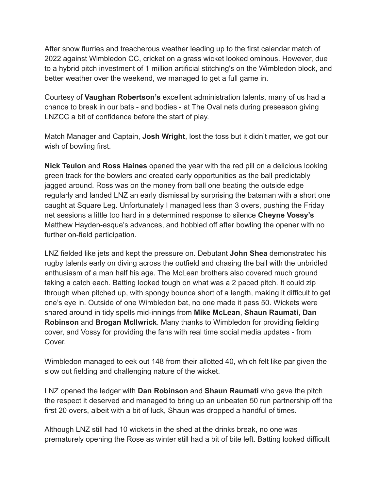After snow flurries and treacherous weather leading up to the first calendar match of 2022 against Wimbledon CC, cricket on a grass wicket looked ominous. However, due to a hybrid pitch investment of 1 million artificial stitching's on the Wimbledon block, and better weather over the weekend, we managed to get a full game in.

Courtesy of **Vaughan Robertson's** excellent administration talents, many of us had a chance to break in our bats - and bodies - at The Oval nets during preseason giving LNZCC a bit of confidence before the start of play.

Match Manager and Captain, **Josh Wright**, lost the toss but it didn't matter, we got our wish of bowling first.

**Nick Teulon** and **Ross Haines** opened the year with the red pill on a delicious looking green track for the bowlers and created early opportunities as the ball predictably jagged around. Ross was on the money from ball one beating the outside edge regularly and landed LNZ an early dismissal by surprising the batsman with a short one caught at Square Leg. Unfortunately I managed less than 3 overs, pushing the Friday net sessions a little too hard in a determined response to silence **Cheyne Vossy's** Matthew Hayden-esque's advances, and hobbled off after bowling the opener with no further on-field participation.

LNZ fielded like jets and kept the pressure on. Debutant **John Shea** demonstrated his rugby talents early on diving across the outfield and chasing the ball with the unbridled enthusiasm of a man half his age. The McLean brothers also covered much ground taking a catch each. Batting looked tough on what was a 2 paced pitch. It could zip through when pitched up, with spongy bounce short of a length, making it difficult to get one's eye in. Outside of one Wimbledon bat, no one made it pass 50. Wickets were shared around in tidy spells mid-innings from **Mike McLean**, **Shaun Raumati**, **Dan Robinson** and **Brogan McIlwrick**. Many thanks to Wimbledon for providing fielding cover, and Vossy for providing the fans with real time social media updates - from Cover.

Wimbledon managed to eek out 148 from their allotted 40, which felt like par given the slow out fielding and challenging nature of the wicket.

LNZ opened the ledger with **Dan Robinson** and **Shaun Raumati** who gave the pitch the respect it deserved and managed to bring up an unbeaten 50 run partnership off the first 20 overs, albeit with a bit of luck, Shaun was dropped a handful of times.

Although LNZ still had 10 wickets in the shed at the drinks break, no one was prematurely opening the Rose as winter still had a bit of bite left. Batting looked difficult